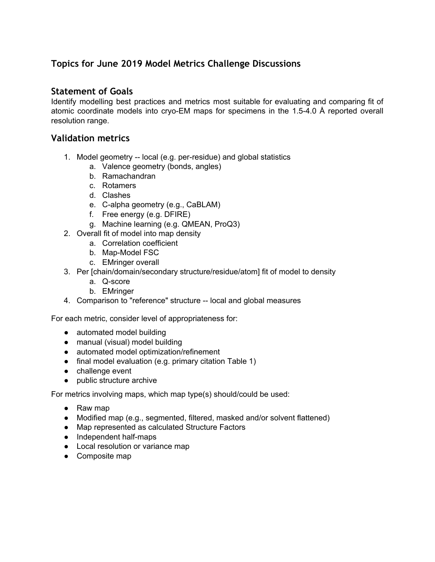# **Topics for June 2019 Model Metrics Challenge Discussions**

## **Statement of Goals**

Identify modelling best practices and metrics most suitable for evaluating and comparing fit of atomic coordinate models into cryo-EM maps for specimens in the 1.5-4.0 Å reported overall resolution range.

### **Validation metrics**

- 1. Model geometry -- local (e.g. per-residue) and global statistics
	- a. Valence geometry (bonds, angles)
	- b. Ramachandran
	- c. Rotamers
	- d. Clashes
	- e. C-alpha geometry (e.g., CaBLAM)
	- f. Free energy (e.g. DFIRE)
	- g. Machine learning (e.g. QMEAN, ProQ3)
- 2. Overall fit of model into map density
	- a. Correlation coefficient
	- b. Map-Model FSC
	- c. EMringer overall
- 3. Per [chain/domain/secondary structure/residue/atom] fit of model to density
	- a. Q-score
	- b. EMringer
- 4. Comparison to "reference" structure -- local and global measures

For each metric, consider level of appropriateness for:

- automated model building
- manual (visual) model building
- automated model optimization/refinement
- final model evaluation (e.g. primary citation Table 1)
- challenge event
- public structure archive

For metrics involving maps, which map type(s) should/could be used:

- Raw map
- Modified map (e.g., segmented, filtered, masked and/or solvent flattened)
- Map represented as calculated Structure Factors
- Independent half-maps
- Local resolution or variance map
- Composite map